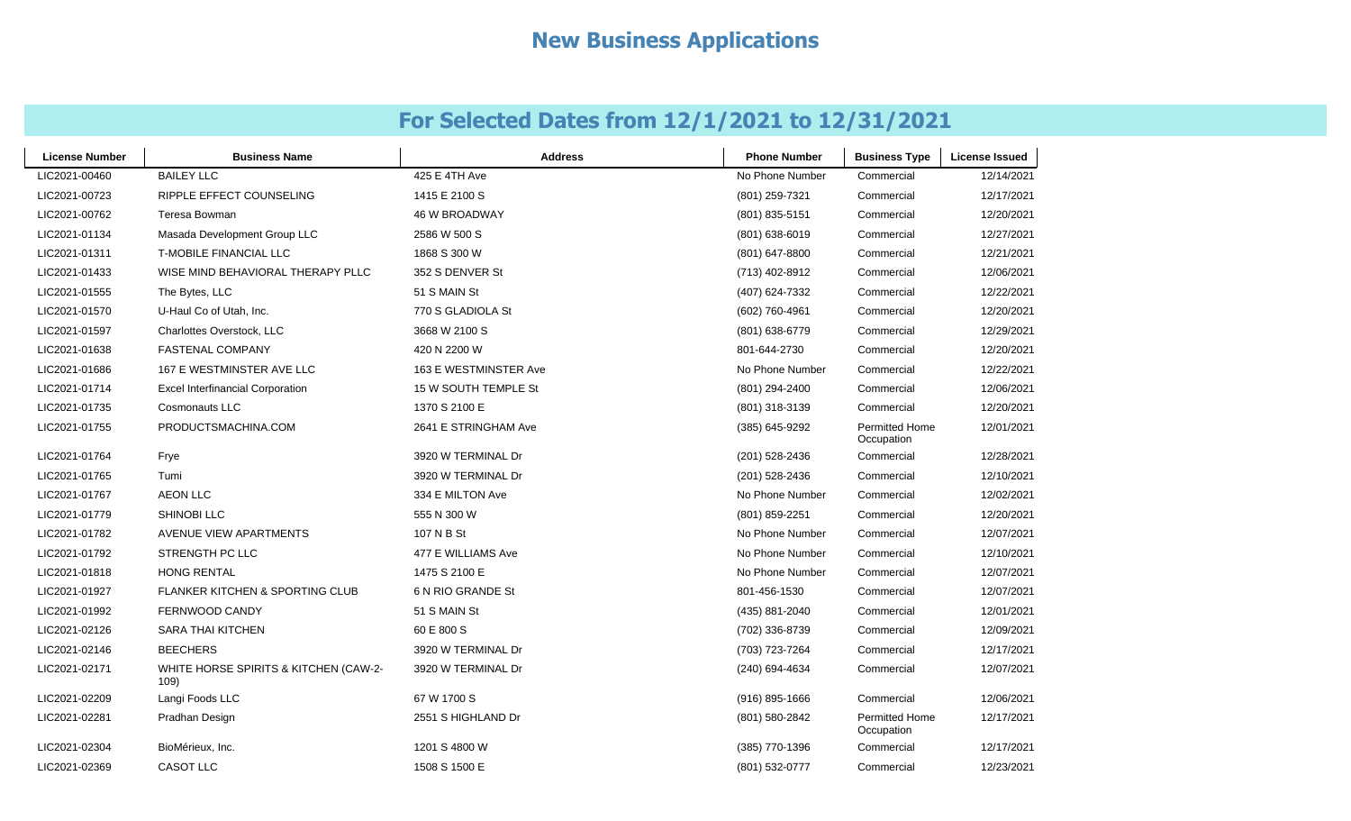| <b>License Number</b> | <b>Business Name</b>                          | <b>Address</b>        | <b>Phone Number</b> | <b>Business Type</b>         | <b>License Issued</b> |
|-----------------------|-----------------------------------------------|-----------------------|---------------------|------------------------------|-----------------------|
| LIC2021-00460         | <b>BAILEY LLC</b>                             | 425 E 4TH Ave         | No Phone Number     | Commercial                   | 12/14/2021            |
| LIC2021-00723         | RIPPLE EFFECT COUNSELING                      | 1415 E 2100 S         | (801) 259-7321      | Commercial                   | 12/17/2021            |
| LIC2021-00762         | Teresa Bowman                                 | <b>46 W BROADWAY</b>  | (801) 835-5151      | Commercial                   | 12/20/2021            |
| LIC2021-01134         | Masada Development Group LLC                  | 2586 W 500 S          | $(801)$ 638-6019    | Commercial                   | 12/27/2021            |
| LIC2021-01311         | <b>T-MOBILE FINANCIAL LLC</b>                 | 1868 S 300 W          | (801) 647-8800      | Commercial                   | 12/21/2021            |
| LIC2021-01433         | WISE MIND BEHAVIORAL THERAPY PLLC             | 352 S DENVER St       | (713) 402-8912      | Commercial                   | 12/06/2021            |
| LIC2021-01555         | The Bytes, LLC                                | 51 S MAIN St          | (407) 624-7332      | Commercial                   | 12/22/2021            |
| LIC2021-01570         | U-Haul Co of Utah, Inc.                       | 770 S GLADIOLA St     | (602) 760-4961      | Commercial                   | 12/20/2021            |
| LIC2021-01597         | Charlottes Overstock, LLC                     | 3668 W 2100 S         | (801) 638-6779      | Commercial                   | 12/29/2021            |
| LIC2021-01638         | <b>FASTENAL COMPANY</b>                       | 420 N 2200 W          | 801-644-2730        | Commercial                   | 12/20/2021            |
| LIC2021-01686         | 167 E WESTMINSTER AVE LLC                     | 163 E WESTMINSTER Ave | No Phone Number     | Commercial                   | 12/22/2021            |
| LIC2021-01714         | <b>Excel Interfinancial Corporation</b>       | 15 W SOUTH TEMPLE St  | (801) 294-2400      | Commercial                   | 12/06/2021            |
| LIC2021-01735         | <b>Cosmonauts LLC</b>                         | 1370 S 2100 E         | (801) 318-3139      | Commercial                   | 12/20/2021            |
| LIC2021-01755         | PRODUCTSMACHINA.COM                           | 2641 E STRINGHAM Ave  | (385) 645-9292      | Permitted Home<br>Occupation | 12/01/2021            |
| LIC2021-01764         | Frye                                          | 3920 W TERMINAL Dr    | (201) 528-2436      | Commercial                   | 12/28/2021            |
| LIC2021-01765         | Tumi                                          | 3920 W TERMINAL Dr    | (201) 528-2436      | Commercial                   | 12/10/2021            |
| LIC2021-01767         | <b>AEON LLC</b>                               | 334 E MILTON Ave      | No Phone Number     | Commercial                   | 12/02/2021            |
| LIC2021-01779         | SHINOBI LLC                                   | 555 N 300 W           | (801) 859-2251      | Commercial                   | 12/20/2021            |
| LIC2021-01782         | AVENUE VIEW APARTMENTS                        | 107 N B St            | No Phone Number     | Commercial                   | 12/07/2021            |
| LIC2021-01792         | STRENGTH PC LLC                               | 477 E WILLIAMS Ave    | No Phone Number     | Commercial                   | 12/10/2021            |
| LIC2021-01818         | <b>HONG RENTAL</b>                            | 1475 S 2100 E         | No Phone Number     | Commercial                   | 12/07/2021            |
| LIC2021-01927         | <b>FLANKER KITCHEN &amp; SPORTING CLUB</b>    | 6 N RIO GRANDE St     | 801-456-1530        | Commercial                   | 12/07/2021            |
| LIC2021-01992         | FERNWOOD CANDY                                | 51 S MAIN St          | (435) 881-2040      | Commercial                   | 12/01/2021            |
| LIC2021-02126         | SARA THAI KITCHEN                             | 60 E 800 S            | (702) 336-8739      | Commercial                   | 12/09/2021            |
| LIC2021-02146         | <b>BEECHERS</b>                               | 3920 W TERMINAL Dr    | (703) 723-7264      | Commercial                   | 12/17/2021            |
| LIC2021-02171         | WHITE HORSE SPIRITS & KITCHEN (CAW-2-<br>109) | 3920 W TERMINAL Dr    | (240) 694-4634      | Commercial                   | 12/07/2021            |
| LIC2021-02209         | Langi Foods LLC                               | 67 W 1700 S           | (916) 895-1666      | Commercial                   | 12/06/2021            |
| LIC2021-02281         | Pradhan Design                                | 2551 S HIGHLAND Dr    | (801) 580-2842      | Permitted Home<br>Occupation | 12/17/2021            |
| LIC2021-02304         | BioMérieux, Inc.                              | 1201 S 4800 W         | (385) 770-1396      | Commercial                   | 12/17/2021            |
| LIC2021-02369         | <b>CASOT LLC</b>                              | 1508 S 1500 E         | (801) 532-0777      | Commercial                   | 12/23/2021            |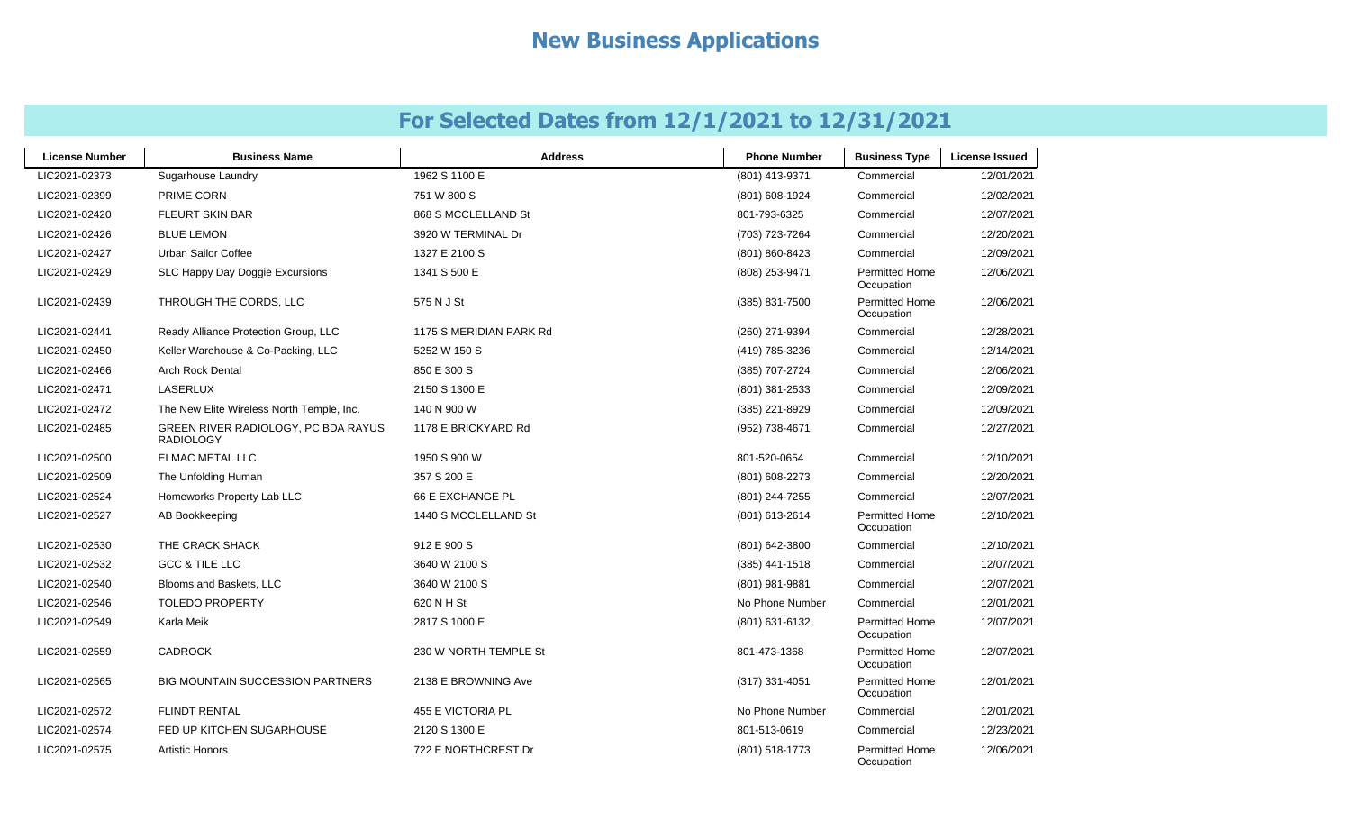| <b>License Number</b> | <b>Business Name</b>                                    | <b>Address</b>          | <b>Phone Number</b> | <b>Business Type</b>                | <b>License Issued</b> |
|-----------------------|---------------------------------------------------------|-------------------------|---------------------|-------------------------------------|-----------------------|
| LIC2021-02373         | Sugarhouse Laundry                                      | 1962 S 1100 E           | (801) 413-9371      | Commercial                          | 12/01/2021            |
| LIC2021-02399         | <b>PRIME CORN</b>                                       | 751 W 800 S             | (801) 608-1924      | Commercial                          | 12/02/2021            |
| LIC2021-02420         | <b>FLEURT SKIN BAR</b>                                  | 868 S MCCLELLAND St     | 801-793-6325        | Commercial                          | 12/07/2021            |
| LIC2021-02426         | <b>BLUE LEMON</b>                                       | 3920 W TERMINAL Dr      | (703) 723-7264      | Commercial                          | 12/20/2021            |
| LIC2021-02427         | Urban Sailor Coffee                                     | 1327 E 2100 S           | (801) 860-8423      | Commercial                          | 12/09/2021            |
| LIC2021-02429         | SLC Happy Day Doggie Excursions                         | 1341 S 500 E            | (808) 253-9471      | <b>Permitted Home</b><br>Occupation | 12/06/2021            |
| LIC2021-02439         | THROUGH THE CORDS, LLC                                  | 575 N J St              | (385) 831-7500      | <b>Permitted Home</b><br>Occupation | 12/06/2021            |
| LIC2021-02441         | Ready Alliance Protection Group, LLC                    | 1175 S MERIDIAN PARK Rd | (260) 271-9394      | Commercial                          | 12/28/2021            |
| LIC2021-02450         | Keller Warehouse & Co-Packing, LLC                      | 5252 W 150 S            | (419) 785-3236      | Commercial                          | 12/14/2021            |
| LIC2021-02466         | <b>Arch Rock Dental</b>                                 | 850 E 300 S             | (385) 707-2724      | Commercial                          | 12/06/2021            |
| LIC2021-02471         | LASERLUX                                                | 2150 S 1300 E           | (801) 381-2533      | Commercial                          | 12/09/2021            |
| LIC2021-02472         | The New Elite Wireless North Temple, Inc.               | 140 N 900 W             | (385) 221-8929      | Commercial                          | 12/09/2021            |
| LIC2021-02485         | GREEN RIVER RADIOLOGY, PC BDA RAYUS<br><b>RADIOLOGY</b> | 1178 E BRICKYARD Rd     | (952) 738-4671      | Commercial                          | 12/27/2021            |
| LIC2021-02500         | <b>ELMAC METAL LLC</b>                                  | 1950 S 900 W            | 801-520-0654        | Commercial                          | 12/10/2021            |
| LIC2021-02509         | The Unfolding Human                                     | 357 S 200 E             | (801) 608-2273      | Commercial                          | 12/20/2021            |
| LIC2021-02524         | Homeworks Property Lab LLC                              | 66 E EXCHANGE PL        | (801) 244-7255      | Commercial                          | 12/07/2021            |
| LIC2021-02527         | AB Bookkeeping                                          | 1440 S MCCLELLAND St    | (801) 613-2614      | Permitted Home<br>Occupation        | 12/10/2021            |
| LIC2021-02530         | THE CRACK SHACK                                         | 912 E 900 S             | (801) 642-3800      | Commercial                          | 12/10/2021            |
| LIC2021-02532         | <b>GCC &amp; TILE LLC</b>                               | 3640 W 2100 S           | (385) 441-1518      | Commercial                          | 12/07/2021            |
| LIC2021-02540         | Blooms and Baskets, LLC                                 | 3640 W 2100 S           | (801) 981-9881      | Commercial                          | 12/07/2021            |
| LIC2021-02546         | <b>TOLEDO PROPERTY</b>                                  | 620 N H St              | No Phone Number     | Commercial                          | 12/01/2021            |
| LIC2021-02549         | Karla Meik                                              | 2817 S 1000 E           | (801) 631-6132      | Permitted Home<br>Occupation        | 12/07/2021            |
| LIC2021-02559         | <b>CADROCK</b>                                          | 230 W NORTH TEMPLE St   | 801-473-1368        | Permitted Home<br>Occupation        | 12/07/2021            |
| LIC2021-02565         | <b>BIG MOUNTAIN SUCCESSION PARTNERS</b>                 | 2138 E BROWNING Ave     | (317) 331-4051      | Permitted Home<br>Occupation        | 12/01/2021            |
| LIC2021-02572         | <b>FLINDT RENTAL</b>                                    | 455 E VICTORIA PL       | No Phone Number     | Commercial                          | 12/01/2021            |
| LIC2021-02574         | FED UP KITCHEN SUGARHOUSE                               | 2120 S 1300 E           | 801-513-0619        | Commercial                          | 12/23/2021            |
| LIC2021-02575         | <b>Artistic Honors</b>                                  | 722 E NORTHCREST Dr     | (801) 518-1773      | Permitted Home<br>Occupation        | 12/06/2021            |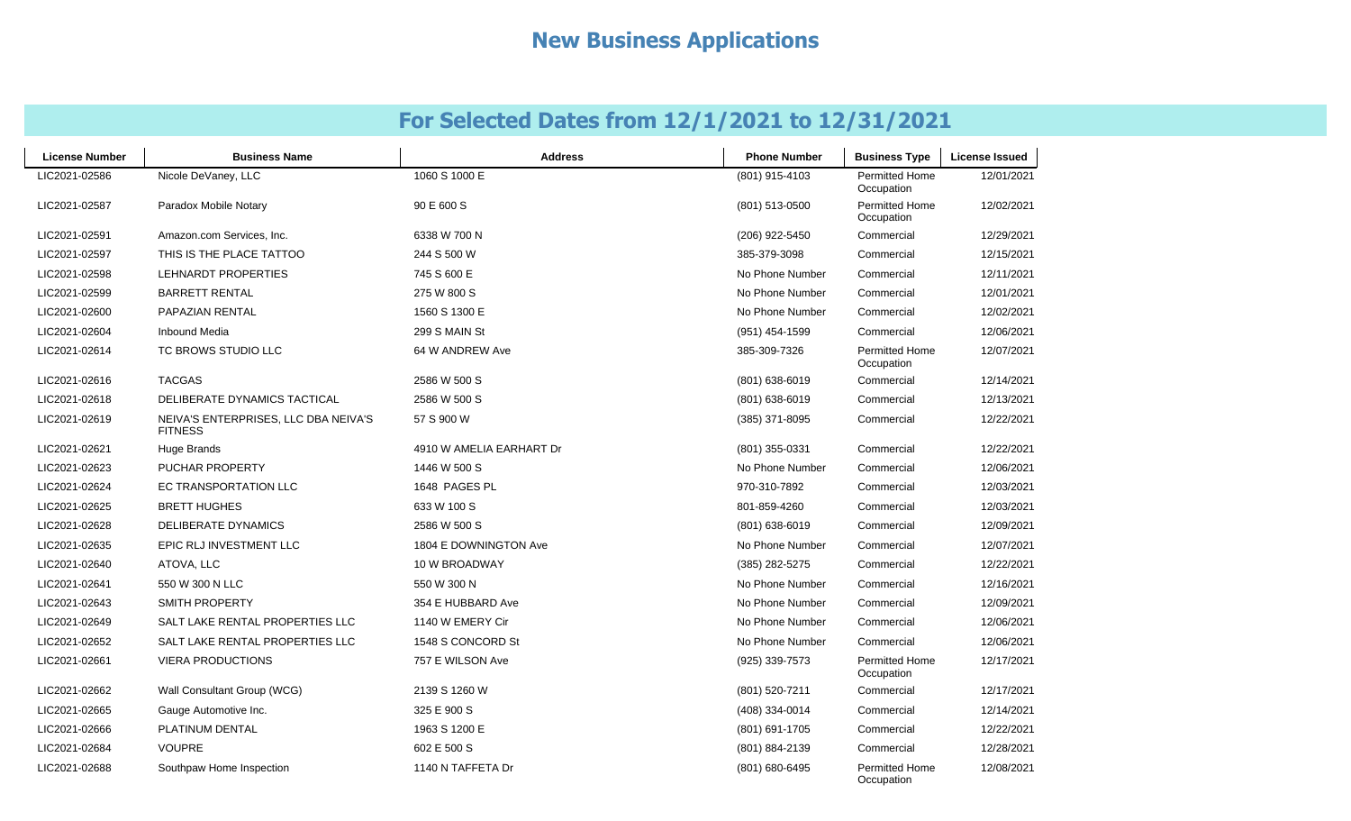| <b>License Number</b> | <b>Business Name</b>                                   | <b>Address</b>           | <b>Phone Number</b> | <b>Business Type</b>                | <b>License Issued</b> |
|-----------------------|--------------------------------------------------------|--------------------------|---------------------|-------------------------------------|-----------------------|
| LIC2021-02586         | Nicole DeVaney, LLC                                    | 1060 S 1000 E            | (801) 915-4103      | <b>Permitted Home</b><br>Occupation | 12/01/2021            |
| LIC2021-02587         | Paradox Mobile Notary                                  | 90 E 600 S               | (801) 513-0500      | Permitted Home<br>Occupation        | 12/02/2021            |
| LIC2021-02591         | Amazon.com Services, Inc.                              | 6338 W 700 N             | (206) 922-5450      | Commercial                          | 12/29/2021            |
| LIC2021-02597         | THIS IS THE PLACE TATTOO                               | 244 S 500 W              | 385-379-3098        | Commercial                          | 12/15/2021            |
| LIC2021-02598         | <b>LEHNARDT PROPERTIES</b>                             | 745 S 600 E              | No Phone Number     | Commercial                          | 12/11/2021            |
| LIC2021-02599         | <b>BARRETT RENTAL</b>                                  | 275 W 800 S              | No Phone Number     | Commercial                          | 12/01/2021            |
| LIC2021-02600         | <b>PAPAZIAN RENTAL</b>                                 | 1560 S 1300 E            | No Phone Number     | Commercial                          | 12/02/2021            |
| LIC2021-02604         | <b>Inbound Media</b>                                   | 299 S MAIN St            | (951) 454-1599      | Commercial                          | 12/06/2021            |
| LIC2021-02614         | TC BROWS STUDIO LLC                                    | 64 W ANDREW Ave          | 385-309-7326        | Permitted Home<br>Occupation        | 12/07/2021            |
| LIC2021-02616         | <b>TACGAS</b>                                          | 2586 W 500 S             | (801) 638-6019      | Commercial                          | 12/14/2021            |
| LIC2021-02618         | DELIBERATE DYNAMICS TACTICAL                           | 2586 W 500 S             | $(801)$ 638-6019    | Commercial                          | 12/13/2021            |
| LIC2021-02619         | NEIVA'S ENTERPRISES, LLC DBA NEIVA'S<br><b>FITNESS</b> | 57 S 900 W               | (385) 371-8095      | Commercial                          | 12/22/2021            |
| LIC2021-02621         | Huge Brands                                            | 4910 W AMELIA EARHART Dr | (801) 355-0331      | Commercial                          | 12/22/2021            |
| LIC2021-02623         | PUCHAR PROPERTY                                        | 1446 W 500 S             | No Phone Number     | Commercial                          | 12/06/2021            |
| LIC2021-02624         | <b>EC TRANSPORTATION LLC</b>                           | 1648 PAGES PL            | 970-310-7892        | Commercial                          | 12/03/2021            |
| LIC2021-02625         | <b>BRETT HUGHES</b>                                    | 633 W 100 S              | 801-859-4260        | Commercial                          | 12/03/2021            |
| LIC2021-02628         | DELIBERATE DYNAMICS                                    | 2586 W 500 S             | (801) 638-6019      | Commercial                          | 12/09/2021            |
| LIC2021-02635         | EPIC RLJ INVESTMENT LLC                                | 1804 E DOWNINGTON Ave    | No Phone Number     | Commercial                          | 12/07/2021            |
| LIC2021-02640         | ATOVA, LLC                                             | 10 W BROADWAY            | (385) 282-5275      | Commercial                          | 12/22/2021            |
| LIC2021-02641         | 550 W 300 N LLC                                        | 550 W 300 N              | No Phone Number     | Commercial                          | 12/16/2021            |
| LIC2021-02643         | SMITH PROPERTY                                         | 354 E HUBBARD Ave        | No Phone Number     | Commercial                          | 12/09/2021            |
| LIC2021-02649         | SALT LAKE RENTAL PROPERTIES LLC                        | 1140 W EMERY Cir         | No Phone Number     | Commercial                          | 12/06/2021            |
| LIC2021-02652         | SALT LAKE RENTAL PROPERTIES LLC                        | 1548 S CONCORD St        | No Phone Number     | Commercial                          | 12/06/2021            |
| LIC2021-02661         | <b>VIERA PRODUCTIONS</b>                               | 757 E WILSON Ave         | (925) 339-7573      | <b>Permitted Home</b><br>Occupation | 12/17/2021            |
| LIC2021-02662         | Wall Consultant Group (WCG)                            | 2139 S 1260 W            | (801) 520-7211      | Commercial                          | 12/17/2021            |
| LIC2021-02665         | Gauge Automotive Inc.                                  | 325 E 900 S              | (408) 334-0014      | Commercial                          | 12/14/2021            |
| LIC2021-02666         | PLATINUM DENTAL                                        | 1963 S 1200 E            | (801) 691-1705      | Commercial                          | 12/22/2021            |
| LIC2021-02684         | <b>VOUPRE</b>                                          | 602 E 500 S              | (801) 884-2139      | Commercial                          | 12/28/2021            |
| LIC2021-02688         | Southpaw Home Inspection                               | 1140 N TAFFETA Dr        | (801) 680-6495      | <b>Permitted Home</b><br>Occupation | 12/08/2021            |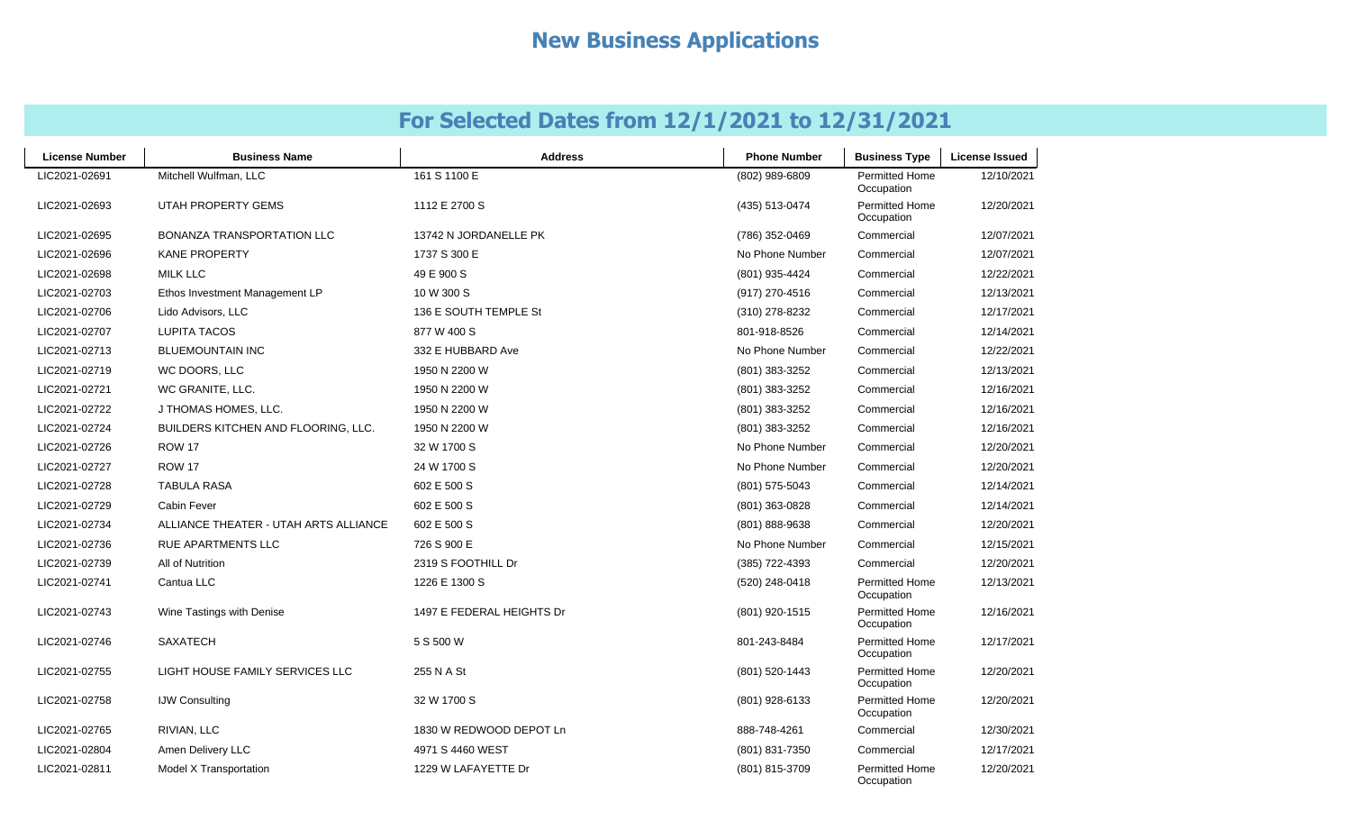| <b>License Number</b> | <b>Business Name</b>                  | <b>Address</b>            | <b>Phone Number</b> | <b>Business Type</b>                | <b>License Issued</b> |
|-----------------------|---------------------------------------|---------------------------|---------------------|-------------------------------------|-----------------------|
| LIC2021-02691         | Mitchell Wulfman, LLC                 | 161 S 1100 E              | (802) 989-6809      | <b>Permitted Home</b><br>Occupation | 12/10/2021            |
| LIC2021-02693         | UTAH PROPERTY GEMS                    | 1112 E 2700 S             | (435) 513-0474      | <b>Permitted Home</b><br>Occupation | 12/20/2021            |
| LIC2021-02695         | BONANZA TRANSPORTATION LLC            | 13742 N JORDANELLE PK     | (786) 352-0469      | Commercial                          | 12/07/2021            |
| LIC2021-02696         | <b>KANE PROPERTY</b>                  | 1737 S 300 E              | No Phone Number     | Commercial                          | 12/07/2021            |
| LIC2021-02698         | <b>MILK LLC</b>                       | 49 E 900 S                | (801) 935-4424      | Commercial                          | 12/22/2021            |
| LIC2021-02703         | Ethos Investment Management LP        | 10 W 300 S                | (917) 270-4516      | Commercial                          | 12/13/2021            |
| LIC2021-02706         | Lido Advisors, LLC                    | 136 E SOUTH TEMPLE St     | (310) 278-8232      | Commercial                          | 12/17/2021            |
| LIC2021-02707         | <b>LUPITA TACOS</b>                   | 877 W 400 S               | 801-918-8526        | Commercial                          | 12/14/2021            |
| LIC2021-02713         | <b>BLUEMOUNTAIN INC</b>               | 332 E HUBBARD Ave         | No Phone Number     | Commercial                          | 12/22/2021            |
| LIC2021-02719         | WC DOORS, LLC                         | 1950 N 2200 W             | (801) 383-3252      | Commercial                          | 12/13/2021            |
| LIC2021-02721         | WC GRANITE, LLC.                      | 1950 N 2200 W             | (801) 383-3252      | Commercial                          | 12/16/2021            |
| LIC2021-02722         | J THOMAS HOMES, LLC.                  | 1950 N 2200 W             | (801) 383-3252      | Commercial                          | 12/16/2021            |
| LIC2021-02724         | BUILDERS KITCHEN AND FLOORING, LLC.   | 1950 N 2200 W             | (801) 383-3252      | Commercial                          | 12/16/2021            |
| LIC2021-02726         | <b>ROW 17</b>                         | 32 W 1700 S               | No Phone Number     | Commercial                          | 12/20/2021            |
| LIC2021-02727         | <b>ROW 17</b>                         | 24 W 1700 S               | No Phone Number     | Commercial                          | 12/20/2021            |
| LIC2021-02728         | <b>TABULA RASA</b>                    | 602 E 500 S               | (801) 575-5043      | Commercial                          | 12/14/2021            |
| LIC2021-02729         | <b>Cabin Fever</b>                    | 602 E 500 S               | (801) 363-0828      | Commercial                          | 12/14/2021            |
| LIC2021-02734         | ALLIANCE THEATER - UTAH ARTS ALLIANCE | 602 E 500 S               | (801) 888-9638      | Commercial                          | 12/20/2021            |
| LIC2021-02736         | <b>RUE APARTMENTS LLC</b>             | 726 S 900 E               | No Phone Number     | Commercial                          | 12/15/2021            |
| LIC2021-02739         | All of Nutrition                      | 2319 S FOOTHILL Dr        | (385) 722-4393      | Commercial                          | 12/20/2021            |
| LIC2021-02741         | Cantua LLC                            | 1226 E 1300 S             | (520) 248-0418      | Permitted Home<br>Occupation        | 12/13/2021            |
| LIC2021-02743         | Wine Tastings with Denise             | 1497 E FEDERAL HEIGHTS Dr | (801) 920-1515      | <b>Permitted Home</b><br>Occupation | 12/16/2021            |
| LIC2021-02746         | <b>SAXATECH</b>                       | 5 S 500 W                 | 801-243-8484        | <b>Permitted Home</b><br>Occupation | 12/17/2021            |
| LIC2021-02755         | LIGHT HOUSE FAMILY SERVICES LLC       | 255 N A St                | (801) 520-1443      | <b>Permitted Home</b><br>Occupation | 12/20/2021            |
| LIC2021-02758         | <b>IJW Consulting</b>                 | 32 W 1700 S               | (801) 928-6133      | <b>Permitted Home</b><br>Occupation | 12/20/2021            |
| LIC2021-02765         | RIVIAN, LLC                           | 1830 W REDWOOD DEPOT Ln   | 888-748-4261        | Commercial                          | 12/30/2021            |
| LIC2021-02804         | Amen Delivery LLC                     | 4971 S 4460 WEST          | (801) 831-7350      | Commercial                          | 12/17/2021            |
| LIC2021-02811         | Model X Transportation                | 1229 W LAFAYETTE Dr       | (801) 815-3709      | <b>Permitted Home</b><br>Occupation | 12/20/2021            |